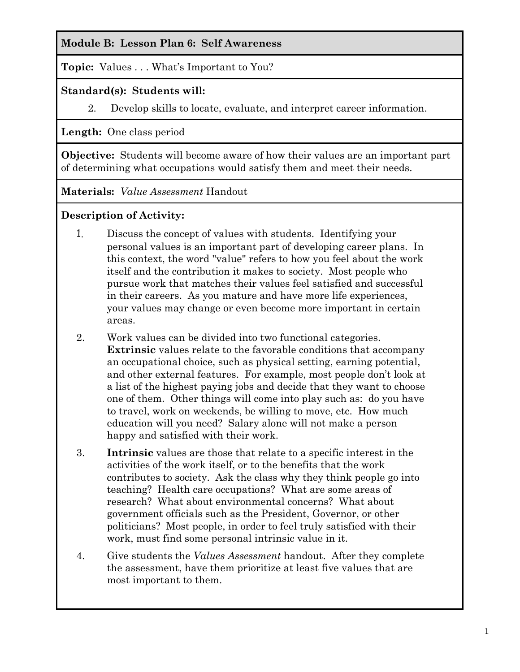#### **Module B: Lesson Plan 6: Self Awareness**

**Topic:** Values . . . What's Important to You?

#### **Standard(s): Students will:**

2. Develop skills to locate, evaluate, and interpret career information.

**Length:** One class period

**Objective:** Students will become aware of how their values are an important part of determining what occupations would satisfy them and meet their needs.

**Materials:** *Value Assessment* Handout

### **Description of Activity:**

- 1. Discuss the concept of values with students. Identifying your personal values is an important part of developing career plans. In this context, the word "value" refers to how you feel about the work itself and the contribution it makes to society. Most people who pursue work that matches their values feel satisfied and successful in their careers. As you mature and have more life experiences, your values may change or even become more important in certain areas.
- 2. Work values can be divided into two functional categories. **Extrinsic** values relate to the favorable conditions that accompany an occupational choice, such as physical setting, earning potential, and other external features. For example, most people don't look at a list of the highest paying jobs and decide that they want to choose one of them. Other things will come into play such as: do you have to travel, work on weekends, be willing to move, etc. How much education will you need? Salary alone will not make a person happy and satisfied with their work.
- 3. **Intrinsic** values are those that relate to a specific interest in the activities of the work itself, or to the benefits that the work contributes to society. Ask the class why they think people go into teaching? Health care occupations? What are some areas of research? What about environmental concerns? What about government officials such as the President, Governor, or other politicians? Most people, in order to feel truly satisfied with their work, must find some personal intrinsic value in it.
- 4. Give students the *Values Assessment* handout. After they complete the assessment, have them prioritize at least five values that are most important to them.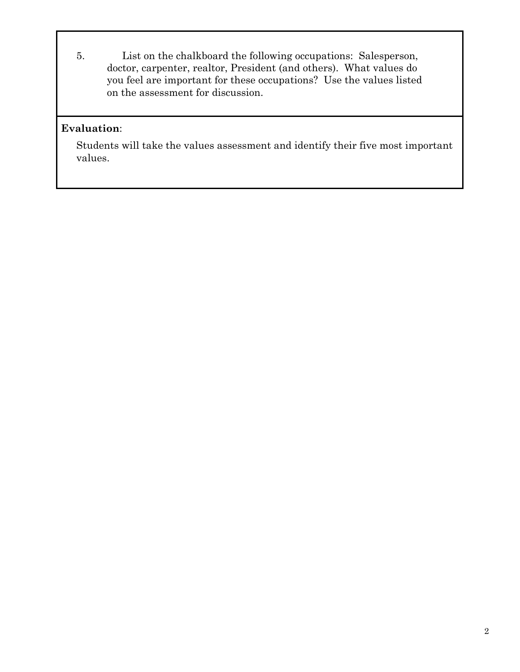5. List on the chalkboard the following occupations: Salesperson, doctor, carpenter, realtor, President (and others). What values do you feel are important for these occupations? Use the values listed on the assessment for discussion.

#### **Evaluation**:

Students will take the values assessment and identify their five most important values.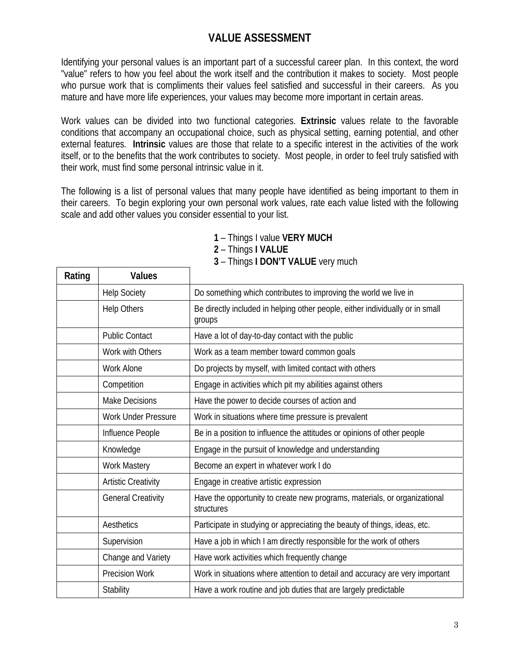## **VALUE ASSESSMENT**

Identifying your personal values is an important part of a successful career plan. In this context, the word "value" refers to how you feel about the work itself and the contribution it makes to society. Most people who pursue work that is compliments their values feel satisfied and successful in their careers. As you mature and have more life experiences, your values may become more important in certain areas.

Work values can be divided into two functional categories. **Extrinsic** values relate to the favorable conditions that accompany an occupational choice, such as physical setting, earning potential, and other external features. **Intrinsic** values are those that relate to a specific interest in the activities of the work itself, or to the benefits that the work contributes to society. Most people, in order to feel truly satisfied with their work, must find some personal intrinsic value in it.

The following is a list of personal values that many people have identified as being important to them in their careers. To begin exploring your own personal work values, rate each value listed with the following scale and add other values you consider essential to your list.

| Rating | <b>Values</b>              |                                                                                         |
|--------|----------------------------|-----------------------------------------------------------------------------------------|
|        | <b>Help Society</b>        | Do something which contributes to improving the world we live in                        |
|        | <b>Help Others</b>         | Be directly included in helping other people, either individually or in small<br>groups |
|        | <b>Public Contact</b>      | Have a lot of day-to-day contact with the public                                        |
|        | Work with Others           | Work as a team member toward common goals                                               |
|        | <b>Work Alone</b>          | Do projects by myself, with limited contact with others                                 |
|        | Competition                | Engage in activities which pit my abilities against others                              |
|        | <b>Make Decisions</b>      | Have the power to decide courses of action and                                          |
|        | <b>Work Under Pressure</b> | Work in situations where time pressure is prevalent                                     |
|        | Influence People           | Be in a position to influence the attitudes or opinions of other people                 |
|        | Knowledge                  | Engage in the pursuit of knowledge and understanding                                    |
|        | <b>Work Mastery</b>        | Become an expert in whatever work I do                                                  |
|        | <b>Artistic Creativity</b> | Engage in creative artistic expression                                                  |
|        | <b>General Creativity</b>  | Have the opportunity to create new programs, materials, or organizational<br>structures |
|        | Aesthetics                 | Participate in studying or appreciating the beauty of things, ideas, etc.               |
|        | Supervision                | Have a job in which I am directly responsible for the work of others                    |
|        | Change and Variety         | Have work activities which frequently change                                            |
|        | <b>Precision Work</b>      | Work in situations where attention to detail and accuracy are very important            |
|        | Stability                  | Have a work routine and job duties that are largely predictable                         |

# **1** – Things I value **VERY MUCH**

**2** – Things **I VALUE** 

**3** – Things **I DON'T VALUE** very much